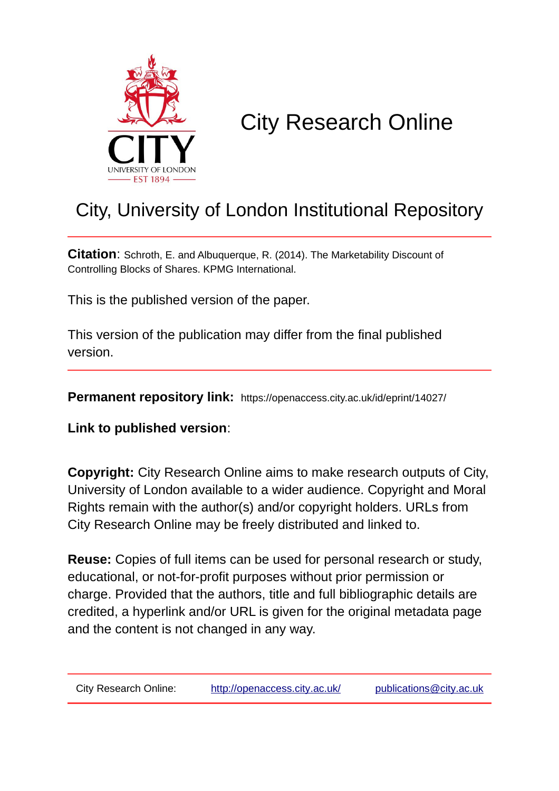

### City Research Online

### City, University of London Institutional Repository

**Citation**: Schroth, E. and Albuquerque, R. (2014). The Marketability Discount of Controlling Blocks of Shares. KPMG International.

This is the published version of the paper.

This version of the publication may differ from the final published version.

**Permanent repository link:** https://openaccess.city.ac.uk/id/eprint/14027/

**Link to published version**:

**Copyright:** City Research Online aims to make research outputs of City, University of London available to a wider audience. Copyright and Moral Rights remain with the author(s) and/or copyright holders. URLs from City Research Online may be freely distributed and linked to.

**Reuse:** Copies of full items can be used for personal research or study, educational, or not-for-profit purposes without prior permission or charge. Provided that the authors, title and full bibliographic details are credited, a hyperlink and/or URL is given for the original metadata page and the content is not changed in any way.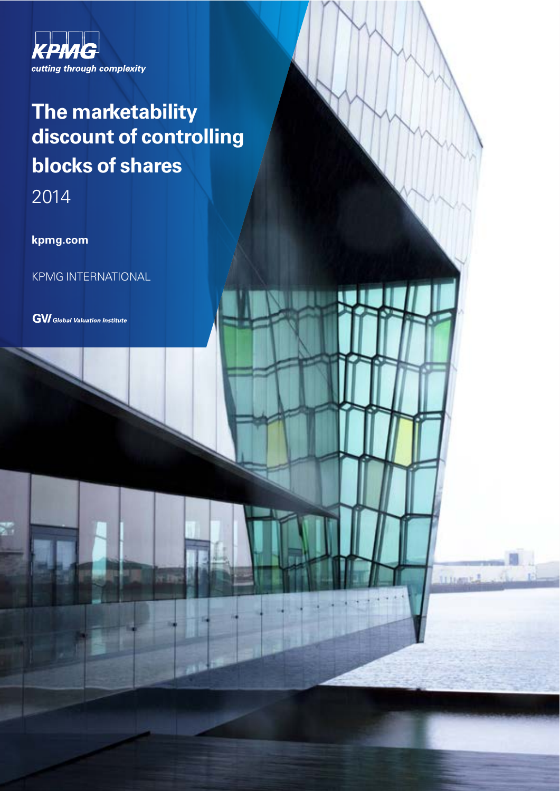

### The marketability discount of controlling **blocks of shares**

**STTLA** 

2014

kpmg.com

**KPMG INTERNATIONAL** 

**GVI** Global Valuation Institute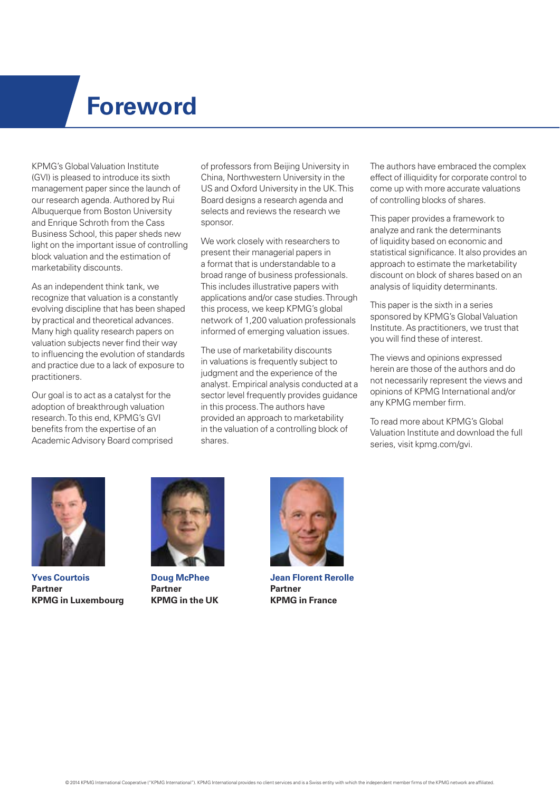### **Foreword**

KPMG's Global Valuation Institute (GVI) is pleased to introduce its sixth management paper since the launch of our research agenda. Authored by Rui Albuquerque from Boston University and Enrique Schroth from the Cass Business School, this paper sheds new light on the important issue of controlling block valuation and the estimation of marketability discounts.

As an independent think tank, we recognize that valuation is a constantly evolving discipline that has been shaped by practical and theoretical advances. Many high quality research papers on valuation subjects never find their way to influencing the evolution of standards and practice due to a lack of exposure to practitioners.

Our goal is to act as a catalyst for the adoption of breakthrough valuation research. To this end, KPMG's GVI benefits from the expertise of an Academic Advisory Board comprised of professors from Beijing University in China, Northwestern University in the US and Oxford University in the UK. This Board designs a research agenda and selects and reviews the research we sponsor.

We work closely with researchers to present their managerial papers in a format that is understandable to a broad range of business professionals. This includes illustrative papers with applications and/or case studies. Through this process, we keep KPMG's global network of 1,200 valuation professionals informed of emerging valuation issues.

The use of marketability discounts in valuations is frequently subject to judgment and the experience of the analyst. Empirical analysis conducted at a sector level frequently provides guidance in this process. The authors have provided an approach to marketability in the valuation of a controlling block of shares.

The authors have embraced the complex effect of illiquidity for corporate control to come up with more accurate valuations of controlling blocks of shares.

This paper provides a framework to analyze and rank the determinants of liquidity based on economic and statistical significance. It also provides an approach to estimate the marketability discount on block of shares based on an analysis of liquidity determinants.

This paper is the sixth in a series sponsored by KPMG's Global Valuation Institute. As practitioners, we trust that you will find these of interest.

The views and opinions expressed herein are those of the authors and do not necessarily represent the views and opinions of KPMG International and/or any KPMG member firm.

To read more about KPMG's Global Valuation Institute and download the full series, visit kpmg.com/gvi.



**Yves Courtois Partner KPMG in Luxembourg**



**Doug McPhee Partner KPMG in the UK**



**Jean Florent Rerolle Partner KPMG in France**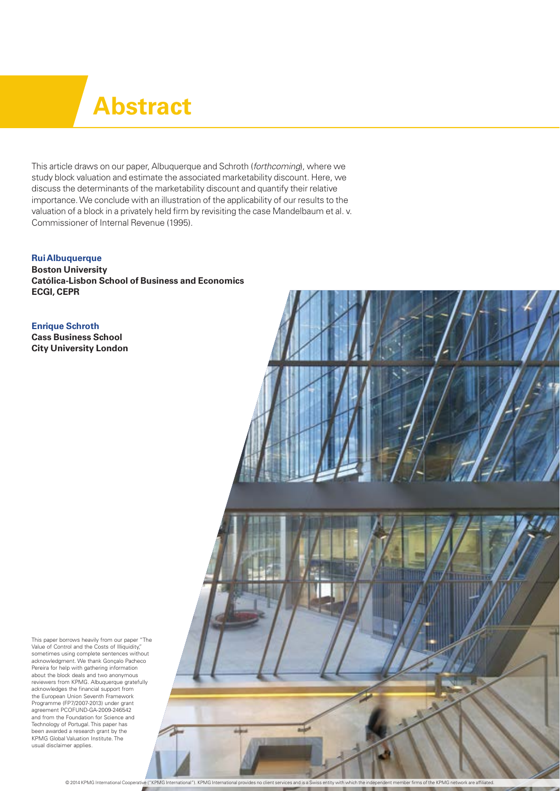## **Abstract**

This article draws on our paper. Albuquerque and Schroth (forthcoming), where we study block valuation and estimate the associated marketability discount. Here, we discuss the determinants of the marketability discount and quantify their relative importance. We conclude with an illustration of the applicability of our results to the valuation of a block in a privately held firm by revisiting the case Mandelbaum et al. v. Commissioner of Internal Revenue (1995).

**Rui Albuquerque Boston University Católica-Lisbon School of Business and Economics ECGI, CEPR**

**Enrique Schroth Cass Business School City University London**

This paper borrows heavily from our paper "The Value of Control and the Costs of Illiquidity," sometimes using complete sentences without acknowledgment. We thank Gonçalo Pacheco Pereira for help with gathering information about the block deals and two anonymous reviewers from KPMG. Albuquerque gratefully acknowledges the financial support from the European Union Seventh Framework Programme (FP7/2007-2013) under grant agreement PCOFUND-GA-2009-246542 and from the Foundation for Science and Technology of Portugal. This paper has been awarded a research grant by the KPMG Global Valuation Institute. The usual disclaimer applies.

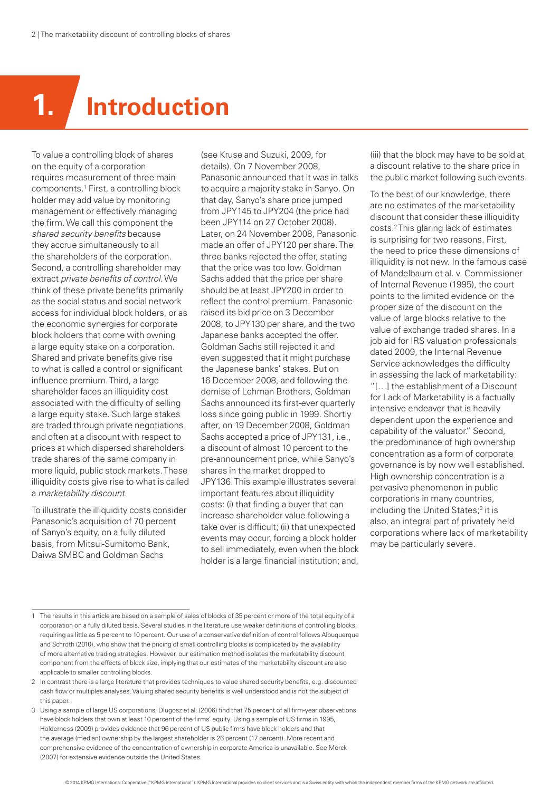# **1. Introduction**

To value a controlling block of shares on the equity of a corporation requires measurement of three main components.1 First, a controlling block holder may add value by monitoring management or effectively managing the firm. We call this component the shared security benefits because they accrue simultaneously to all the shareholders of the corporation. Second, a controlling shareholder may extract private benefits of control. We think of these private benefits primarily as the social status and social network access for individual block holders, or as the economic synergies for corporate block holders that come with owning a large equity stake on a corporation. Shared and private benefits give rise to what is called a control or significant influence premium. Third, a large shareholder faces an illiquidity cost associated with the difficulty of selling a large equity stake. Such large stakes are traded through private negotiations and often at a discount with respect to prices at which dispersed shareholders trade shares of the same company in more liquid, public stock markets. These illiquidity costs give rise to what is called a marketability discount.

To illustrate the illiquidity costs consider Panasonic's acquisition of 70 percent of Sanyo's equity, on a fully diluted basis, from Mitsui-Sumitomo Bank, Daiwa SMBC and Goldman Sachs

(see Kruse and Suzuki, 2009, for details). On 7 November 2008, Panasonic announced that it was in talks to acquire a majority stake in Sanyo. On that day, Sanyo's share price jumped from JPY145 to JPY204 (the price had been JPY114 on 27 October 2008). Later, on 24 November 2008, Panasonic made an offer of JPY120 per share. The three banks rejected the offer, stating that the price was too low. Goldman Sachs added that the price per share should be at least JPY200 in order to reflect the control premium. Panasonic raised its bid price on 3 December 2008, to JPY130 per share, and the two Japanese banks accepted the offer. Goldman Sachs still rejected it and even suggested that it might purchase the Japanese banks' stakes. But on 16 December 2008, and following the demise of Lehman Brothers, Goldman Sachs announced its first-ever quarterly loss since going public in 1999. Shortly after, on 19 December 2008, Goldman Sachs accepted a price of JPY131, i.e., a discount of almost 10 percent to the pre-announcement price, while Sanyo's shares in the market dropped to JPY136. This example illustrates several important features about illiquidity costs: (i) that finding a buyer that can increase shareholder value following a take over is difficult; (ii) that unexpected events may occur, forcing a block holder to sell immediately, even when the block holder is a large financial institution; and,

(iii) that the block may have to be sold at a discount relative to the share price in the public market following such events.

To the best of our knowledge, there are no estimates of the marketability discount that consider these illiquidity costs.2 This glaring lack of estimates is surprising for two reasons. First, the need to price these dimensions of illiquidity is not new. In the famous case of Mandelbaum et al. v. Commissioner of Internal Revenue (1995), the court points to the limited evidence on the proper size of the discount on the value of large blocks relative to the value of exchange traded shares. In a job aid for IRS valuation professionals dated 2009, the Internal Revenue Service acknowledges the difficulty in assessing the lack of marketability: "[…] the establishment of a Discount for Lack of Marketability is a factually intensive endeavor that is heavily dependent upon the experience and capability of the valuator." Second, the predominance of high ownership concentration as a form of corporate governance is by now well established. High ownership concentration is a pervasive phenomenon in public corporations in many countries, including the United States;<sup>3</sup> it is also, an integral part of privately held corporations where lack of marketability may be particularly severe.

The results in this article are based on a sample of sales of blocks of 35 percent or more of the total equity of a corporation on a fully diluted basis. Several studies in the literature use weaker definitions of controlling blocks, requiring as little as 5 percent to 10 percent. Our use of a conservative definition of control follows Albuquerque and Schroth (2010), who show that the pricing of small controlling blocks is complicated by the availability of more alternative trading strategies. However, our estimation method isolates the marketability discount component from the effects of block size, implying that our estimates of the marketability discount are also applicable to smaller controlling blocks.

<sup>2</sup> In contrast there is a large literature that provides techniques to value shared security benefits, e.g. discounted cash flow or multiples analyses. Valuing shared security benefits is well understood and is not the subject of this paper.

<sup>3</sup> Using a sample of large US corporations, Dlugosz et al. (2006) find that 75 percent of all firm-year observations have block holders that own at least 10 percent of the firms' equity. Using a sample of US firms in 1995, Holderness (2009) provides evidence that 96 percent of US public firms have block holders and that the average (median) ownership by the largest shareholder is 26 percent (17 percent). More recent and comprehensive evidence of the concentration of ownership in corporate America is unavailable. See Morck (2007) for extensive evidence outside the United States.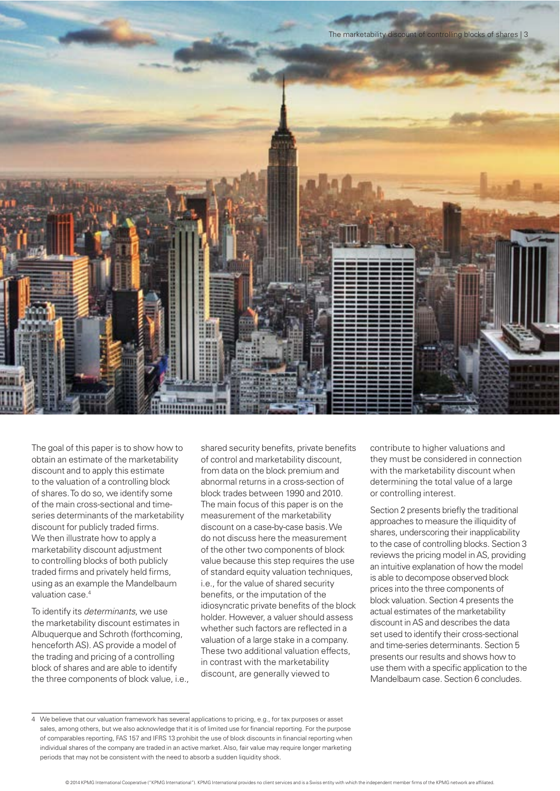

The goal of this paper is to show how to obtain an estimate of the marketability discount and to apply this estimate to the valuation of a controlling block of shares. To do so, we identify some of the main cross-sectional and timeseries determinants of the marketability discount for publicly traded firms. We then illustrate how to apply a marketability discount adjustment to controlling blocks of both publicly traded firms and privately held firms, using as an example the Mandelbaum valuation case.4

To identify its determinants, we use the marketability discount estimates in Albuquerque and Schroth (forthcoming, henceforth AS). AS provide a model of the trading and pricing of a controlling block of shares and are able to identify the three components of block value, i.e.,

shared security benefits, private benefits of control and marketability discount, from data on the block premium and abnormal returns in a cross-section of block trades between 1990 and 2010. The main focus of this paper is on the measurement of the marketability discount on a case-by-case basis. We do not discuss here the measurement of the other two components of block value because this step requires the use of standard equity valuation techniques, i.e., for the value of shared security benefits, or the imputation of the idiosyncratic private benefits of the block holder. However, a valuer should assess whether such factors are reflected in a valuation of a large stake in a company. These two additional valuation effects, in contrast with the marketability discount, are generally viewed to

contribute to higher valuations and they must be considered in connection with the marketability discount when determining the total value of a large or controlling interest.

Section 2 presents briefly the traditional approaches to measure the illiquidity of shares, underscoring their inapplicability to the case of controlling blocks. Section 3 reviews the pricing model in AS, providing an intuitive explanation of how the model is able to decompose observed block prices into the three components of block valuation. Section 4 presents the actual estimates of the marketability discount in AS and describes the data set used to identify their cross-sectional and time-series determinants. Section 5 presents our results and shows how to use them with a specific application to the Mandelbaum case. Section 6 concludes.

<sup>4</sup> We believe that our valuation framework has several applications to pricing, e.g., for tax purposes or asset sales, among others, but we also acknowledge that it is of limited use for financial reporting. For the purpose of comparables reporting, FAS 157 and IFRS 13 prohibit the use of block discounts in financial reporting when individual shares of the company are traded in an active market. Also, fair value may require longer marketing periods that may not be consistent with the need to absorb a sudden liquidity shock.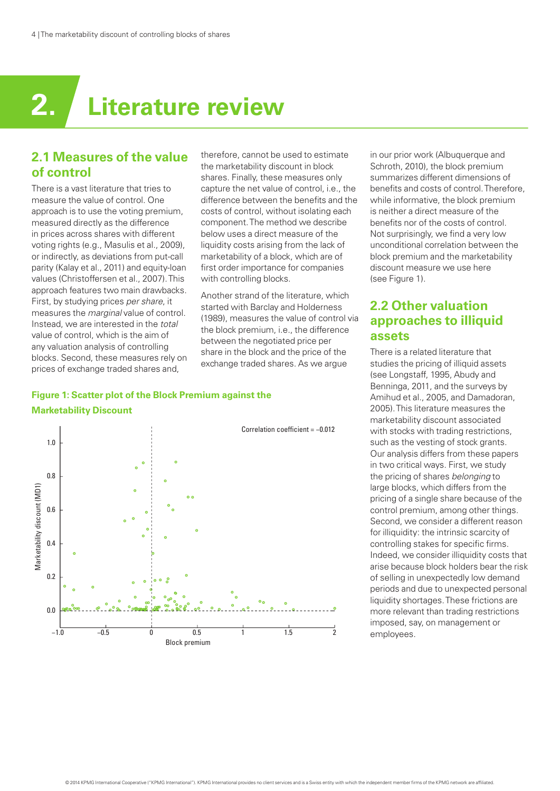## **2. Literature review**

#### **2.1 Measures of the value of control**

There is a vast literature that tries to measure the value of control. One approach is to use the voting premium, measured directly as the difference in prices across shares with different voting rights (e.g., Masulis et al., 2009), or indirectly, as deviations from put-call parity (Kalay et al., 2011) and equity-loan values (Christoffersen et al., 2007). This approach features two main drawbacks. First, by studying prices per share, it measures the marginal value of control. Instead, we are interested in the total value of control, which is the aim of any valuation analysis of controlling blocks. Second, these measures rely on prices of exchange traded shares and,

therefore, cannot be used to estimate the marketability discount in block shares. Finally, these measures only capture the net value of control, i.e., the difference between the benefits and the costs of control, without isolating each component. The method we describe below uses a direct measure of the liquidity costs arising from the lack of marketability of a block, which are of first order importance for companies with controlling blocks.

Another strand of the literature, which started with Barclay and Holderness (1989), measures the value of control via the block premium, i.e., the difference between the negotiated price per share in the block and the price of the exchange traded shares. As we argue

#### **Figure 1: Scatter plot of the Block Premium against the Marketability Discount**



in our prior work (Albuquerque and Schroth, 2010), the block premium summarizes different dimensions of benefits and costs of control. Therefore, while informative, the block premium is neither a direct measure of the benefits nor of the costs of control. Not surprisingly, we find a very low unconditional correlation between the block premium and the marketability discount measure we use here (see Figure 1).

#### **2.2 Other valuation approaches to illiquid assets**

There is a related literature that studies the pricing of illiquid assets (see Longstaff, 1995, Abudy and Benninga, 2011, and the surveys by Amihud et al., 2005, and Damadoran, 2005). This literature measures the marketability discount associated with stocks with trading restrictions, such as the vesting of stock grants. Our analysis differs from these papers in two critical ways. First, we study the pricing of shares belonging to large blocks, which differs from the pricing of a single share because of the control premium, among other things. Second, we consider a different reason for illiquidity: the intrinsic scarcity of controlling stakes for specific firms. Indeed, we consider illiquidity costs that arise because block holders bear the risk of selling in unexpectedly low demand periods and due to unexpected personal liquidity shortages. These frictions are more relevant than trading restrictions imposed, say, on management or employees.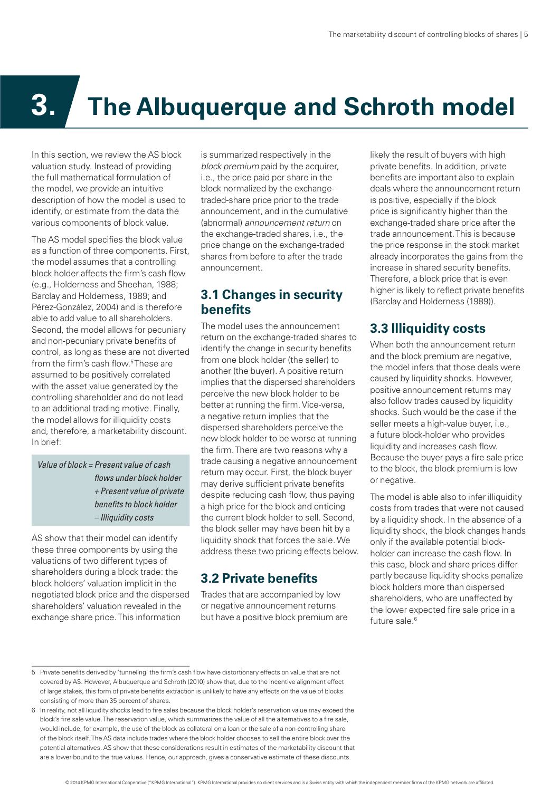# **3. The Albuquerque and Schroth model**

In this section, we review the AS block valuation study. Instead of providing the full mathematical formulation of the model, we provide an intuitive description of how the model is used to identify, or estimate from the data the various components of block value.

The AS model specifies the block value as a function of three components. First, the model assumes that a controlling block holder affects the firm's cash flow (e.g., Holderness and Sheehan, 1988; Barclay and Holderness, 1989; and Pérez-González, 2004) and is therefore able to add value to all shareholders. Second, the model allows for pecuniary and non-pecuniary private benefits of control, as long as these are not diverted from the firm's cash flow.<sup>5</sup>These are assumed to be positively correlated with the asset value generated by the controlling shareholder and do not lead to an additional trading motive. Finally, the model allows for illiquidity costs and, therefore, a marketability discount. In brief:

Value of block = Present value of cash flows under block holder + Present value of private benefits to block holder – Illiquidity costs

AS show that their model can identify these three components by using the valuations of two different types of shareholders during a block trade: the block holders' valuation implicit in the negotiated block price and the dispersed shareholders' valuation revealed in the exchange share price. This information

is summarized respectively in the block premium paid by the acquirer. i.e., the price paid per share in the block normalized by the exchangetraded-share price prior to the trade announcement, and in the cumulative (abnormal) announcement return on the exchange-traded shares, i.e., the price change on the exchange-traded shares from before to after the trade announcement.

#### **3.1 Changes in security benefits**

The model uses the announcement return on the exchange-traded shares to identify the change in security benefits from one block holder (the seller) to another (the buyer). A positive return implies that the dispersed shareholders perceive the new block holder to be better at running the firm. Vice-versa, a negative return implies that the dispersed shareholders perceive the new block holder to be worse at running the firm. There are two reasons why a trade causing a negative announcement return may occur. First, the block buyer may derive sufficient private benefits despite reducing cash flow, thus paying a high price for the block and enticing the current block holder to sell. Second, the block seller may have been hit by a liquidity shock that forces the sale. We address these two pricing effects below.

#### **3.2 Private benefits**

Trades that are accompanied by low or negative announcement returns but have a positive block premium are likely the result of buyers with high private benefits. In addition, private benefits are important also to explain deals where the announcement return is positive, especially if the block price is significantly higher than the exchange-traded share price after the trade announcement. This is because the price response in the stock market already incorporates the gains from the increase in shared security benefits. Therefore, a block price that is even higher is likely to reflect private benefits (Barclay and Holderness (1989)).

#### **3.3 Illiquidity costs**

When both the announcement return and the block premium are negative, the model infers that those deals were caused by liquidity shocks. However, positive announcement returns may also follow trades caused by liquidity shocks. Such would be the case if the seller meets a high-value buyer, i.e., a future block-holder who provides liquidity and increases cash flow. Because the buyer pays a fire sale price to the block, the block premium is low or negative.

The model is able also to infer illiquidity costs from trades that were not caused by a liquidity shock. In the absence of a liquidity shock, the block changes hands only if the available potential blockholder can increase the cash flow. In this case, block and share prices differ partly because liquidity shocks penalize block holders more than dispersed shareholders, who are unaffected by the lower expected fire sale price in a future sale.<sup>6</sup>

<sup>5</sup> Private benefits derived by 'tunneling' the firm's cash flow have distortionary effects on value that are not covered by AS. However, Albuquerque and Schroth (2010) show that, due to the incentive alignment effect of large stakes, this form of private benefits extraction is unlikely to have any effects on the value of blocks consisting of more than 35 percent of shares.

<sup>6</sup> In reality, not all liquidity shocks lead to fire sales because the block holder's reservation value may exceed the block's fire sale value. The reservation value, which summarizes the value of all the alternatives to a fire sale, would include, for example, the use of the block as collateral on a loan or the sale of a non-controlling share of the block itself. The AS data include trades where the block holder chooses to sell the entire block over the potential alternatives. AS show that these considerations result in estimates of the marketability discount that are a lower bound to the true values. Hence, our approach, gives a conservative estimate of these discounts.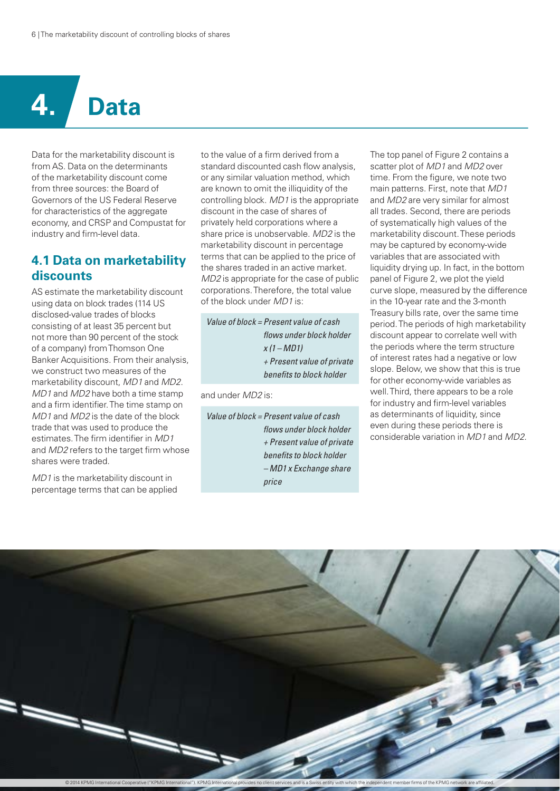# **4. Data**

Data for the marketability discount is from AS. Data on the determinants of the marketability discount come from three sources: the Board of Governors of the US Federal Reserve for characteristics of the aggregate economy, and CRSP and Compustat for industry and firm-level data.

#### **4.1 Data on marketability discounts**

AS estimate the marketability discount using data on block trades (114 US disclosed-value trades of blocks consisting of at least 35 percent but not more than 90 percent of the stock of a company) from Thomson One Banker Acquisitions. From their analysis, we construct two measures of the marketability discount, MD1 and MD2. MD1 and MD2 have both a time stamp and a firm identifier. The time stamp on MD1 and MD2 is the date of the block trade that was used to produce the estimates. The firm identifier in MD1 and MD2 refers to the target firm whose shares were traded.

MD1 is the marketability discount in percentage terms that can be applied to the value of a firm derived from a standard discounted cash flow analysis, or any similar valuation method, which are known to omit the illiquidity of the controlling block. MD1 is the appropriate discount in the case of shares of privately held corporations where a share price is unobservable. MD2 is the marketability discount in percentage terms that can be applied to the price of the shares traded in an active market. MD2 is appropriate for the case of public corporations. Therefore, the total value of the block under MD1 is:

Value of block = Present value of cash flows under block holder  $x(1 - MD1)$ + Present value of private benefits to block holder

and under MD2 is:

Value of block = Present value of cash flows under block holder + Present value of private benefits to block holder – MD1 x Exchange share price

The top panel of Figure 2 contains a scatter plot of *MD1* and *MD2* over time. From the figure, we note two main patterns. First, note that MD1 and MD2 are very similar for almost all trades. Second, there are periods of systematically high values of the marketability discount. These periods may be captured by economy-wide variables that are associated with liquidity drying up. In fact, in the bottom panel of Figure 2, we plot the yield curve slope, measured by the difference in the 10-year rate and the 3-month Treasury bills rate, over the same time period. The periods of high marketability discount appear to correlate well with the periods where the term structure of interest rates had a negative or low slope. Below, we show that this is true for other economy-wide variables as well. Third, there appears to be a role for industry and firm-level variables as determinants of liquidity, since even during these periods there is considerable variation in MD1 and MD2.

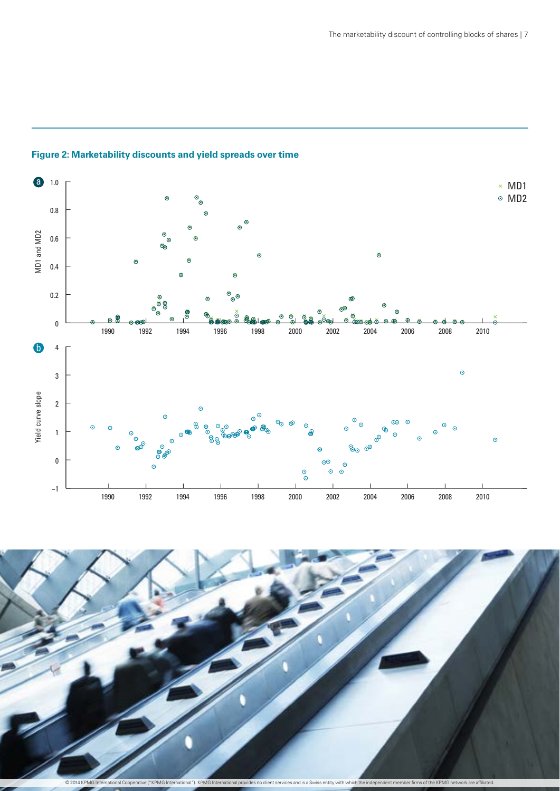

#### **Figure 2: Marketability discounts and yield spreads over time**

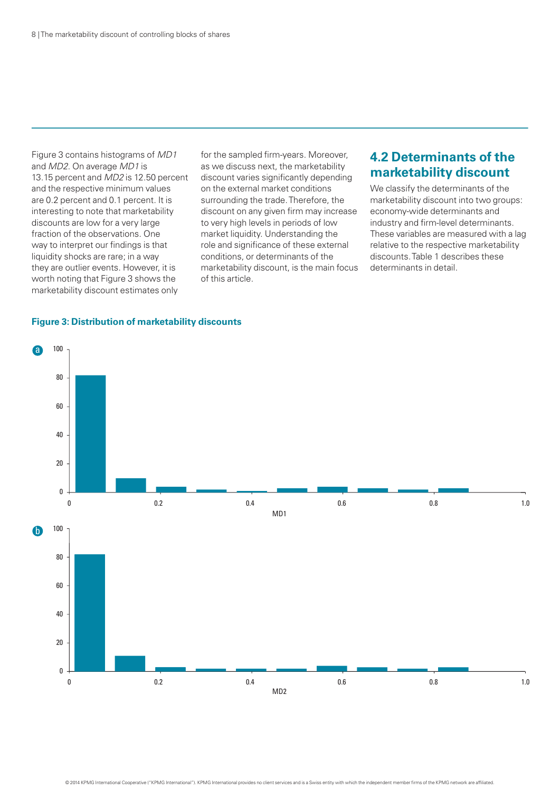Figure 3 contains histograms of MD1 and MD2. On average MD1 is 13.15 percent and MD2 is 12.50 percent and the respective minimum values are 0.2 percent and 0.1 percent. It is interesting to note that marketability discounts are low for a very large fraction of the observations. One way to interpret our findings is that liquidity shocks are rare; in a way they are outlier events. However, it is worth noting that Figure 3 shows the marketability discount estimates only

for the sampled firm-years. Moreover, as we discuss next, the marketability discount varies significantly depending on the external market conditions surrounding the trade. Therefore, the discount on any given firm may increase to very high levels in periods of low market liquidity. Understanding the role and significance of these external conditions, or determinants of the marketability discount, is the main focus of this article.

#### **4.2 Determinants of the marketability discount**

We classify the determinants of the marketability discount into two groups: economy-wide determinants and industry and firm-level determinants. These variables are measured with a lag relative to the respective marketability discounts. Table 1 describes these determinants in detail.

#### **Figure 3: Distribution of marketability discounts**

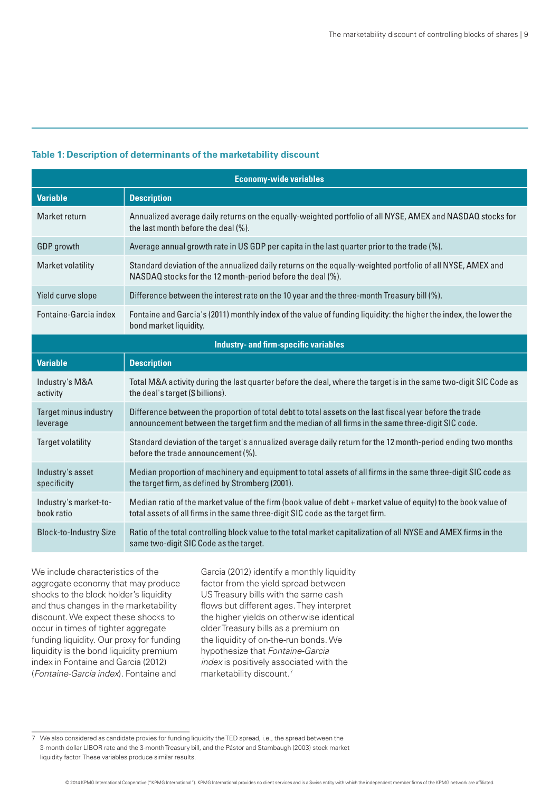#### **Table 1: Description of determinants of the marketability discount**

| <b>Economy-wide variables</b>                |                                                                                                                                                                                                                |  |  |  |
|----------------------------------------------|----------------------------------------------------------------------------------------------------------------------------------------------------------------------------------------------------------------|--|--|--|
| <b>Variable</b>                              | <b>Description</b>                                                                                                                                                                                             |  |  |  |
| Market return                                | Annualized average daily returns on the equally-weighted portfolio of all NYSE, AMEX and NASDAQ stocks for<br>the last month before the deal (%).                                                              |  |  |  |
| <b>GDP</b> growth                            | Average annual growth rate in US GDP per capita in the last quarter prior to the trade (%).                                                                                                                    |  |  |  |
| Market volatility                            | Standard deviation of the annualized daily returns on the equally-weighted portfolio of all NYSE, AMEX and<br>NASDAQ stocks for the 12 month-period before the deal (%).                                       |  |  |  |
| Yield curve slope                            | Difference between the interest rate on the 10 year and the three-month Treasury bill (%).                                                                                                                     |  |  |  |
| Fontaine-Garcia index                        | Fontaine and Garcia's (2011) monthly index of the value of funding liquidity: the higher the index, the lower the<br>bond market liquidity.                                                                    |  |  |  |
| <b>Industry- and firm-specific variables</b> |                                                                                                                                                                                                                |  |  |  |
| <b>Variable</b>                              | <b>Description</b>                                                                                                                                                                                             |  |  |  |
| Industry's M&A<br>activity                   | Total M&A activity during the last quarter before the deal, where the target is in the same two-digit SIC Code as<br>the deal's target (\$ billions).                                                          |  |  |  |
| Target minus industry<br>leverage            | Difference between the proportion of total debt to total assets on the last fiscal year before the trade<br>announcement between the target firm and the median of all firms in the same three-digit SIC code. |  |  |  |
| <b>Target volatility</b>                     | Standard deviation of the target's annualized average daily return for the 12 month-period ending two months<br>before the trade announcement (%).                                                             |  |  |  |
| Industry's asset<br>specificity              | Median proportion of machinery and equipment to total assets of all firms in the same three-digit SIC code as<br>the target firm, as defined by Stromberg (2001).                                              |  |  |  |
| Industry's market-to-<br>book ratio          | Median ratio of the market value of the firm (book value of debt + market value of equity) to the book value of<br>total assets of all firms in the same three-digit SIC code as the target firm.              |  |  |  |
| <b>Block-to-Industry Size</b>                | Ratio of the total controlling block value to the total market capitalization of all NYSE and AMEX firms in the<br>same two-digit SIC Code as the target.                                                      |  |  |  |

We include characteristics of the aggregate economy that may produce shocks to the block holder's liquidity and thus changes in the marketability discount. We expect these shocks to occur in times of tighter aggregate funding liquidity. Our proxy for funding liquidity is the bond liquidity premium index in Fontaine and Garcia (2012) (Fontaine-Garcia index). Fontaine and

Garcia (2012) identify a monthly liquidity factor from the yield spread between US Treasury bills with the same cash flows but different ages. They interpret the higher yields on otherwise identical older Treasury bills as a premium on the liquidity of on-the-run bonds. We hypothesize that Fontaine-Garcia index is positively associated with the marketability discount.<sup>7</sup>

<sup>7</sup> We also considered as candidate proxies for funding liquidity the TED spread, i.e., the spread between the 3-month dollar LIBOR rate and the 3-month Treasury bill, and the Pástor and Stambaugh (2003) stock market liquidity factor. These variables produce similar results.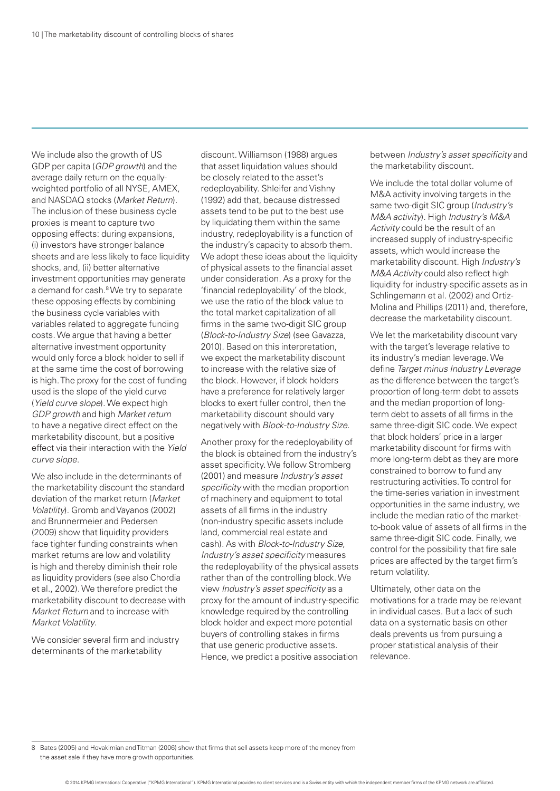We include also the growth of US GDP per capita (GDP growth) and the average daily return on the equallyweighted portfolio of all NYSE, AMEX, and NASDAQ stocks (Market Return). The inclusion of these business cycle proxies is meant to capture two opposing effects: during expansions, (i) investors have stronger balance sheets and are less likely to face liquidity shocks, and, (ii) better alternative investment opportunities may generate a demand for cash.<sup>8</sup> We try to separate these opposing effects by combining the business cycle variables with variables related to aggregate funding costs. We argue that having a better alternative investment opportunity would only force a block holder to sell if at the same time the cost of borrowing is high. The proxy for the cost of funding used is the slope of the yield curve (Yield curve slope). We expect high GDP growth and high Market return to have a negative direct effect on the marketability discount, but a positive effect via their interaction with the Yield curve slope.

We also include in the determinants of the marketability discount the standard deviation of the market return (Market Volatility). Gromb and Vayanos (2002) and Brunnermeier and Pedersen (2009) show that liquidity providers face tighter funding constraints when market returns are low and volatility is high and thereby diminish their role as liquidity providers (see also Chordia et al., 2002). We therefore predict the marketability discount to decrease with Market Return and to increase with Market Volatility.

We consider several firm and industry determinants of the marketability

discount. Williamson (1988) argues that asset liquidation values should be closely related to the asset's redeployability. Shleifer and Vishny (1992) add that, because distressed assets tend to be put to the best use by liquidating them within the same industry, redeployability is a function of the industry's capacity to absorb them. We adopt these ideas about the liquidity of physical assets to the financial asset under consideration. As a proxy for the 'financial redeployability' of the block, we use the ratio of the block value to the total market capitalization of all firms in the same two-digit SIC group (Block-to-Industry Size) (see Gavazza, 2010). Based on this interpretation, we expect the marketability discount to increase with the relative size of the block. However, if block holders have a preference for relatively larger blocks to exert fuller control, then the marketability discount should vary negatively with Block-to-Industry Size.

Another proxy for the redeployability of the block is obtained from the industry's asset specificity. We follow Stromberg (2001) and measure Industry's asset specificity with the median proportion of machinery and equipment to total assets of all firms in the industry (non-industry specific assets include land, commercial real estate and cash). As with Block-to-Industry Size, Industry's asset specificity measures the redeployability of the physical assets rather than of the controlling block. We view Industry's asset specificity as a proxy for the amount of industry-specific knowledge required by the controlling block holder and expect more potential buyers of controlling stakes in firms that use generic productive assets. Hence, we predict a positive association

between Industry's asset specificity and the marketability discount.

We include the total dollar volume of M&A activity involving targets in the same two-digit SIC group (Industry's M&A activity). High Industry's M&A Activity could be the result of an increased supply of industry-specific assets, which would increase the marketability discount. High Industry's M&A Activity could also reflect high liquidity for industry-specific assets as in Schlingemann et al. (2002) and Ortiz-Molina and Phillips (2011) and, therefore, decrease the marketability discount.

We let the marketability discount vary with the target's leverage relative to its industry's median leverage. We define Target minus Industry Leverage as the difference between the target's proportion of long-term debt to assets and the median proportion of longterm debt to assets of all firms in the same three-digit SIC code. We expect that block holders' price in a larger marketability discount for firms with more long-term debt as they are more constrained to borrow to fund any restructuring activities. To control for the time-series variation in investment opportunities in the same industry, we include the median ratio of the marketto-book value of assets of all firms in the same three-digit SIC code. Finally, we control for the possibility that fire sale prices are affected by the target firm's return volatility.

Ultimately, other data on the motivations for a trade may be relevant in individual cases. But a lack of such data on a systematic basis on other deals prevents us from pursuing a proper statistical analysis of their relevance.

8 Bates (2005) and Hovakimian and Titman (2006) show that firms that sell assets keep more of the money from the asset sale if they have more growth opportunities.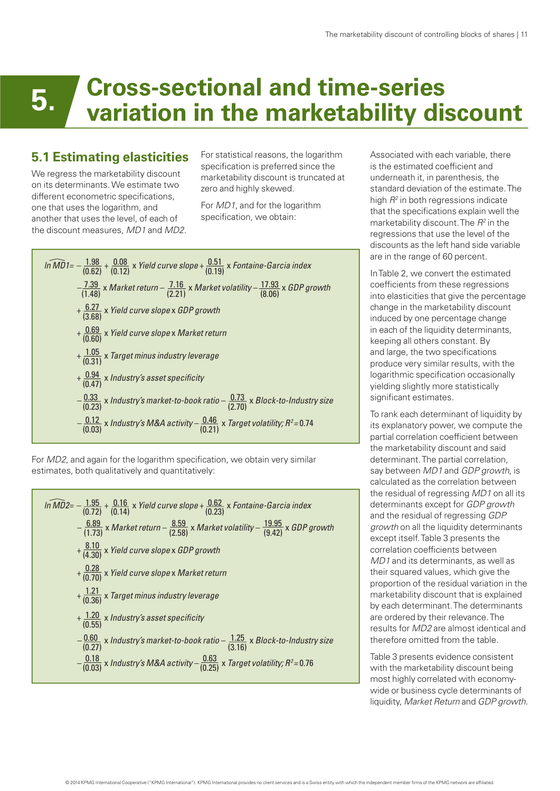#### **5. Cross-sectional and time-series variation in the marketability discount**

#### **5.1 Estimating elasticities**

We regress the marketability discount on its determinants. We estimate two different econometric specifications, one that uses the logarithm, and another that uses the level, of each of the discount measures, MD1 and MD2. For statistical reasons, the logarithm specification is preferred since the marketability discount is truncated at zero and highly skewed.

For MD1, and for the logarithm specification, we obtain:



For MD2, and again for the logarithm specification, we obtain very similar estimates, both qualitatively and quantitatively:

$$
ln \widehat{MD2} = -\frac{1.95}{(0.72)} + \frac{0.16}{(0.14)} \times Yield curve slope + \frac{0.62}{(0.23)} \times Fontaine-Garcia index
$$
  
\n
$$
-\frac{6.89}{(1.73)} \times Market\text{ return} - \frac{8.59}{(2.58)} \times Market\text{ volatility} - \frac{19.95}{(9.42)} \times GDP\text{ growth}
$$
  
\n
$$
+\frac{8.10}{(4.30)} \times Yield\text{ curve slope} \times GDP\text{ growth}
$$
  
\n
$$
+\frac{0.28}{(0.70)} \times Yield\text{ curve slope} \times Market\text{ return}
$$
  
\n
$$
+\frac{1.21}{(0.36)} \times Target\text{ minus industry leverage}
$$
  
\n
$$
+\frac{1.20}{(0.55)} \times Industry's\text{ asset specificity}
$$
  
\n
$$
-\frac{0.60}{(0.27)} \times Industry's\text{ market-to-book ratio} - \frac{1.25}{(3.16)} \times Block\text{-to-Industry size}
$$
  
\n
$$
-\frac{0.18}{(0.03)} \times Industry's\text{ M&A activity} - \frac{0.63}{(0.25)} \times Target\text{ volatility; } R^2 = 0.76
$$

Associated with each variable, there is the estimated coefficient and underneath it, in parenthesis, the standard deviation of the estimate. The high  $R^2$  in both regressions indicate that the specifications explain well the marketability discount. The  $R<sup>2</sup>$  in the regressions that use the level of the discounts as the left hand side variable are in the range of 60 percent.

In Table 2, we convert the estimated coefficients from these regressions into elasticities that give the percentage change in the marketability discount induced by one percentage change in each of the liquidity determinants, keeping all others constant. By and large, the two specifications produce very similar results, with the logarithmic specification occasionally yielding slightly more statistically significant estimates.

To rank each determinant of liquidity by its explanatory power, we compute the partial correlation coefficient between the marketability discount and said determinant. The partial correlation, say between MD1 and GDP growth, is calculated as the correlation between the residual of regressing MD1 on all its determinants except for GDP growth and the residual of regressing GDP growth on all the liquidity determinants except itself. Table 3 presents the correlation coefficients between MD1 and its determinants, as well as their squared values, which give the proportion of the residual variation in the marketability discount that is explained by each determinant. The determinants are ordered by their relevance. The results for MD2 are almost identical and therefore omitted from the table.

Table 3 presents evidence consistent with the marketability discount being most highly correlated with economywide or business cycle determinants of liquidity, Market Return and GDP growth.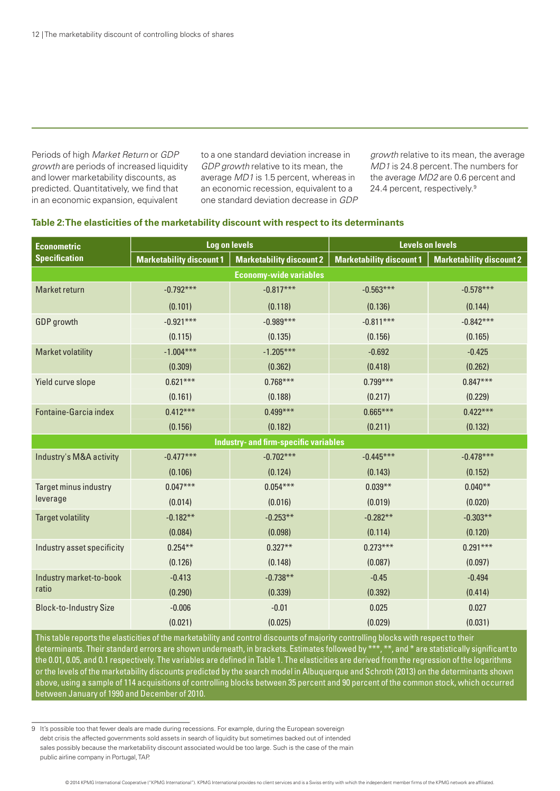Periods of high Market Return or GDP growth are periods of increased liquidity and lower marketability discounts, as predicted. Quantitatively, we find that in an economic expansion, equivalent

to a one standard deviation increase in GDP growth relative to its mean, the average MD1 is 1.5 percent, whereas in an economic recession, equivalent to a one standard deviation decrease in GDP

growth relative to its mean, the average MD1 is 24.8 percent. The numbers for the average MD2 are 0.6 percent and 24.4 percent, respectively.9

#### **Table 2: The elasticities of the marketability discount with respect to its determinants**

| <b>Econometric</b>                | <b>Log on levels</b>            |                                              | <b>Levels on levels</b>         |                                 |  |  |
|-----------------------------------|---------------------------------|----------------------------------------------|---------------------------------|---------------------------------|--|--|
| <b>Specification</b>              | <b>Marketability discount 1</b> | <b>Marketability discount 2</b>              | <b>Marketability discount 1</b> | <b>Marketability discount 2</b> |  |  |
| <b>Economy-wide variables</b>     |                                 |                                              |                                 |                                 |  |  |
| Market return                     | $-0.792***$                     | $-0.817***$                                  | $-0.563***$                     | $-0.578***$                     |  |  |
|                                   | (0.101)                         | (0.118)                                      | (0.136)                         | (0.144)                         |  |  |
| <b>GDP</b> growth                 | $-0.921***$                     | $-0.989***$                                  | $-0.811***$                     | $-0.842***$                     |  |  |
|                                   | (0.115)                         | (0.135)                                      | (0.156)                         | (0.165)                         |  |  |
| <b>Market volatility</b>          | $-1.004***$                     | $-1.205***$                                  | $-0.692$                        | $-0.425$                        |  |  |
|                                   | (0.309)                         | (0.362)                                      | (0.418)                         | (0.262)                         |  |  |
| Yield curve slope                 | $0.621***$                      | $0.768***$                                   | $0.799***$                      | $0.847***$                      |  |  |
|                                   | (0.161)                         | (0.188)                                      | (0.217)                         | (0.229)                         |  |  |
| Fontaine-Garcia index             | $0.412***$                      | $0.499***$                                   | $0.665***$                      | $0.422***$                      |  |  |
|                                   | (0.156)                         | (0.182)                                      | (0.211)                         | (0.132)                         |  |  |
|                                   |                                 | <b>Industry- and firm-specific variables</b> |                                 |                                 |  |  |
| Industry's M&A activity           | $-0.477***$                     | $-0.702***$                                  | $-0.445***$                     | $-0.478***$                     |  |  |
|                                   | (0.106)                         | (0.124)                                      | (0.143)                         | (0.152)                         |  |  |
| Target minus industry<br>leverage | $0.047***$                      | $0.054***$                                   | $0.039**$                       | $0.040**$                       |  |  |
|                                   | (0.014)                         | (0.016)                                      | (0.019)                         | (0.020)                         |  |  |
| <b>Target volatility</b>          | $-0.182**$                      | $-0.253**$                                   | $-0.282**$                      | $-0.303**$                      |  |  |
|                                   | (0.084)                         | (0.098)                                      | (0.114)                         | (0.120)                         |  |  |
| Industry asset specificity        | $0.254***$                      | $0.327**$                                    | $0.273***$                      | $0.291***$                      |  |  |
|                                   | (0.126)                         | (0.148)                                      | (0.087)                         | (0.097)                         |  |  |
| Industry market-to-book<br>ratio  | $-0.413$                        | $-0.738**$                                   | $-0.45$                         | $-0.494$                        |  |  |
|                                   | (0.290)                         | (0.339)                                      | (0.392)                         | (0.414)                         |  |  |
| <b>Block-to-Industry Size</b>     | $-0.006$                        | $-0.01$                                      | 0.025                           | 0.027                           |  |  |
|                                   | (0.021)                         | (0.025)                                      | (0.029)                         | (0.031)                         |  |  |

This table reports the elasticities of the marketability and control discounts of majority controlling blocks with respect to their determinants. Their standard errors are shown underneath, in brackets. Estimates followed by \*\*\*, \*\*, and \* are statistically significant to the 0.01, 0.05, and 0.1 respectively. The variables are defined in Table 1. The elasticities are derived from the regression of the logarithms or the levels of the marketability discounts predicted by the search model in Albuquerque and Schroth (2013) on the determinants shown above, using a sample of 114 acquisitions of controlling blocks between 35 percent and 90 percent of the common stock, which occurred between January of 1990 and December of 2010.

<sup>9</sup> It's possible too that fewer deals are made during recessions. For example, during the European sovereign debt crisis the affected governments sold assets in search of liquidity but sometimes backed out of intended sales possibly because the marketability discount associated would be too large. Such is the case of the main public airline company in Portugal, TAP.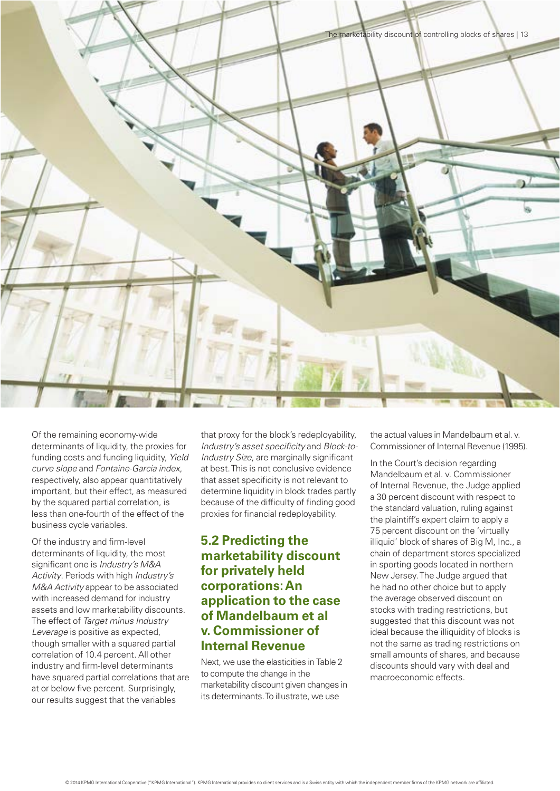

Of the remaining economy-wide determinants of liquidity, the proxies for funding costs and funding liquidity, Yield curve slope and Fontaine-Garcia index, respectively, also appear quantitatively important, but their effect, as measured by the squared partial correlation, is less than one-fourth of the effect of the business cycle variables.

Of the industry and firm-level determinants of liquidity, the most significant one is Industry's M&A Activity. Periods with high Industry's M&A Activity appear to be associated with increased demand for industry assets and low marketability discounts. The effect of Target minus Industry Leverage is positive as expected, though smaller with a squared partial correlation of 10.4 percent. All other industry and firm-level determinants have squared partial correlations that are at or below five percent. Surprisingly, our results suggest that the variables

that proxy for the block's redeployability, Industry's asset specificity and Block-to-Industry Size, are marginally significant at best. This is not conclusive evidence that asset specificity is not relevant to determine liquidity in block trades partly because of the difficulty of finding good proxies for financial redeployability.

#### **5.2 Predicting the marketability discount for privately held corporations: An application to the case of Mandelbaum et al v. Commissioner of Internal Revenue**

Next, we use the elasticities in Table 2 to compute the change in the marketability discount given changes in its determinants. To illustrate, we use

the actual values in Mandelbaum et al. v. Commissioner of Internal Revenue (1995).

In the Court's decision regarding Mandelbaum et al. v. Commissioner of Internal Revenue, the Judge applied a 30 percent discount with respect to the standard valuation, ruling against the plaintiff's expert claim to apply a 75 percent discount on the 'virtually illiquid' block of shares of Big M, Inc., a chain of department stores specialized in sporting goods located in northern New Jersey. The Judge argued that he had no other choice but to apply the average observed discount on stocks with trading restrictions, but suggested that this discount was not ideal because the illiquidity of blocks is not the same as trading restrictions on small amounts of shares, and because discounts should vary with deal and macroeconomic effects.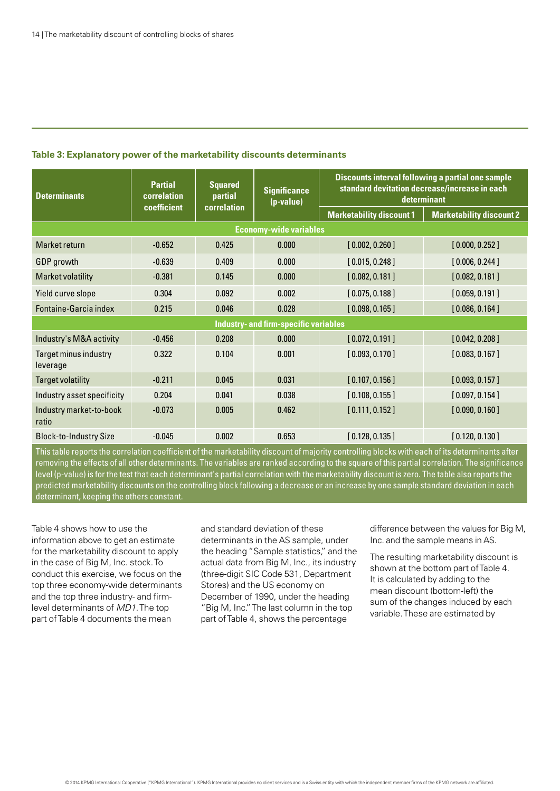| Table 3: Explanatory power of the marketability discounts determinants |  |
|------------------------------------------------------------------------|--|
|------------------------------------------------------------------------|--|

| <b>Determinants</b>               | <b>Partial</b><br>correlation | <b>Squared</b><br>partial<br>correlation | <b>Significance</b><br>(p-value)             |                                 | <b>Discounts interval following a partial one sample</b><br>standard devitation decrease/increase in each<br>determinant |  |
|-----------------------------------|-------------------------------|------------------------------------------|----------------------------------------------|---------------------------------|--------------------------------------------------------------------------------------------------------------------------|--|
|                                   | coefficient                   |                                          |                                              | <b>Marketability discount 1</b> | <b>Marketability discount 2</b>                                                                                          |  |
| <b>Economy-wide variables</b>     |                               |                                          |                                              |                                 |                                                                                                                          |  |
| Market return                     | $-0.652$                      | 0.425                                    | 0.000                                        | [0.002, 0.260]                  | [0.000, 0.252]                                                                                                           |  |
| GDP growth                        | $-0.639$                      | 0.409                                    | 0.000                                        | [0.015, 0.248]                  | [0.006, 0.244]                                                                                                           |  |
| <b>Market volatility</b>          | $-0.381$                      | 0.145                                    | 0.000                                        | [0.082, 0.181]                  | [0.082, 0.181]                                                                                                           |  |
| Yield curve slope                 | 0.304                         | 0.092                                    | 0.002                                        | [0.075, 0.188]                  | [0.059, 0.191]                                                                                                           |  |
| Fontaine-Garcia index             | 0.215                         | 0.046                                    | 0.028                                        | [0.098, 0.165]                  | [0.086, 0.164]                                                                                                           |  |
|                                   |                               |                                          | <b>Industry- and firm-specific variables</b> |                                 |                                                                                                                          |  |
| Industry's M&A activity           | $-0.456$                      | 0.208                                    | 0.000                                        | [0.072, 0.191]                  | [0.042, 0.208]                                                                                                           |  |
| Target minus industry<br>leverage | 0.322                         | 0.104                                    | 0.001                                        | [0.093, 0.170]                  | [0.083, 0.167]                                                                                                           |  |
| <b>Target volatility</b>          | $-0.211$                      | 0.045                                    | 0.031                                        | [0.107, 0.156]                  | [0.093, 0.157]                                                                                                           |  |
| Industry asset specificity        | 0.204                         | 0.041                                    | 0.038                                        | [0.108, 0.155]                  | [0.097, 0.154]                                                                                                           |  |
| Industry market-to-book<br>ratio  | $-0.073$                      | 0.005                                    | 0.462                                        | [0.111, 0.152]                  | [0.090, 0.160]                                                                                                           |  |
| <b>Block-to-Industry Size</b>     | $-0.045$                      | 0.002                                    | 0.653                                        | [0.128, 0.135]                  | [0.120, 0.130]                                                                                                           |  |

This table reports the correlation coefficient of the marketability discount of majority controlling blocks with each of its determinants after removing the effects of all other determinants. The variables are ranked according to the square of this partial correlation. The significance level (p-value) is for the test that each determinant's partial correlation with the marketability discount is zero. The table also reports the predicted marketability discounts on the controlling block following a decrease or an increase by one sample standard deviation in each determinant, keeping the others constant.

Table 4 shows how to use the information above to get an estimate for the marketability discount to apply in the case of Big M, Inc. stock. To conduct this exercise, we focus on the top three economy-wide determinants and the top three industry- and firmlevel determinants of MD1. The top part of Table 4 documents the mean

and standard deviation of these determinants in the AS sample, under the heading "Sample statistics," and the actual data from Big M, Inc., its industry (three-digit SIC Code 531, Department Stores) and the US economy on December of 1990, under the heading "Big M, Inc." The last column in the top part of Table 4, shows the percentage

difference between the values for Big M, Inc. and the sample means in AS.

The resulting marketability discount is shown at the bottom part of Table 4. It is calculated by adding to the mean discount (bottom-left) the sum of the changes induced by each variable. These are estimated by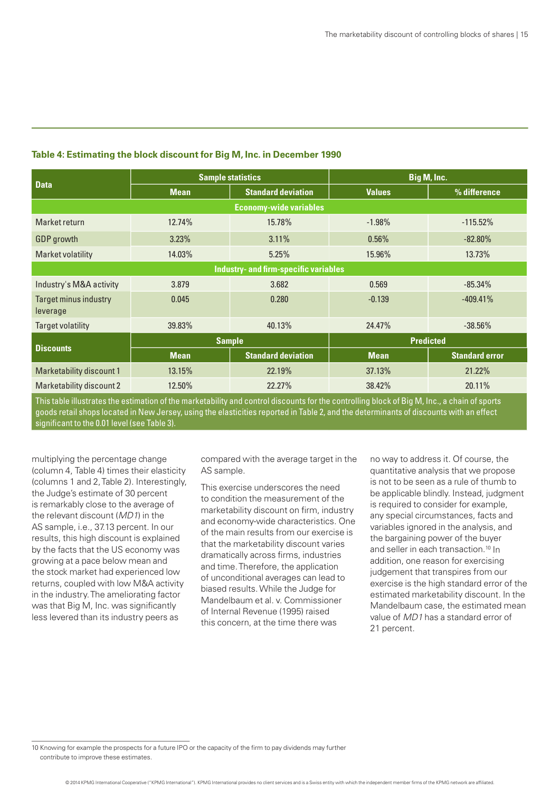| <b>Data</b>                                  | <b>Sample statistics</b> |                           | Big M, Inc.      |                       |  |  |
|----------------------------------------------|--------------------------|---------------------------|------------------|-----------------------|--|--|
|                                              | <b>Mean</b>              | <b>Standard deviation</b> | <b>Values</b>    | % difference          |  |  |
| <b>Economy-wide variables</b>                |                          |                           |                  |                       |  |  |
| Market return                                | 12.74%                   | 15.78%                    | $-1.98%$         | $-115.52%$            |  |  |
| <b>GDP</b> growth                            | 3.23%                    | 3.11%                     | 0.56%            | $-82.80\%$            |  |  |
| Market volatility                            | 14.03%                   | 5.25%                     | 15.96%           | 13.73%                |  |  |
| <b>Industry- and firm-specific variables</b> |                          |                           |                  |                       |  |  |
| Industry's M&A activity                      | 3.879                    | 3.682                     | 0.569            | $-85.34%$             |  |  |
| <b>Target minus industry</b><br>leverage     | 0.045                    | 0.280                     | $-0.139$         | $-409.41%$            |  |  |
| Target volatility                            | 39.83%                   | 40.13%                    | 24.47%           | $-38.56%$             |  |  |
| <b>Discounts</b>                             | <b>Sample</b>            |                           | <b>Predicted</b> |                       |  |  |
|                                              | <b>Mean</b>              | <b>Standard deviation</b> | <b>Mean</b>      | <b>Standard error</b> |  |  |
| Marketability discount 1                     | 13.15%                   | 22.19%                    | 37.13%           | 21.22%                |  |  |
| Marketability discount 2                     | 12.50%                   | 22.27%                    | 38.42%           | 20.11%                |  |  |

#### **Table 4: Estimating the block discount for Big M, Inc. in December 1990**

This table illustrates the estimation of the marketability and control discounts for the controlling block of Big M, Inc., a chain of sports goods retail shops located in New Jersey, using the elasticities reported in Table 2, and the determinants of discounts with an effect significant to the 0.01 level (see Table 3).

multiplying the percentage change (column 4, Table 4) times their elasticity (columns 1 and 2, Table 2). Interestingly, the Judge's estimate of 30 percent is remarkably close to the average of the relevant discount (MD1) in the AS sample, i.e., 37.13 percent. In our results, this high discount is explained by the facts that the US economy was growing at a pace below mean and the stock market had experienced low returns, coupled with low M&A activity in the industry. The ameliorating factor was that Big M, Inc. was significantly less levered than its industry peers as

compared with the average target in the AS sample.

This exercise underscores the need to condition the measurement of the marketability discount on firm, industry and economy-wide characteristics. One of the main results from our exercise is that the marketability discount varies dramatically across firms, industries and time. Therefore, the application of unconditional averages can lead to biased results. While the Judge for Mandelbaum et al. v. Commissioner of Internal Revenue (1995) raised this concern, at the time there was

no way to address it. Of course, the quantitative analysis that we propose is not to be seen as a rule of thumb to be applicable blindly. Instead, judgment is required to consider for example, any special circumstances, facts and variables ignored in the analysis, and the bargaining power of the buyer and seller in each transaction.<sup>10</sup> In addition, one reason for exercising judgement that transpires from our exercise is the high standard error of the estimated marketability discount. In the Mandelbaum case, the estimated mean value of MD1 has a standard error of 21 percent.

10 Knowing for example the prospects for a future IPO or the capacity of the firm to pay dividends may further contribute to improve these estimates.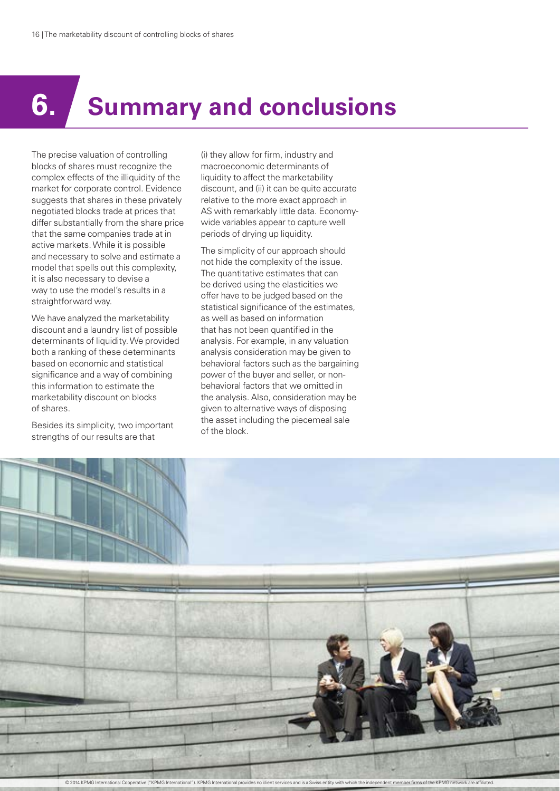## **6. Summary and conclusions**

The precise valuation of controlling blocks of shares must recognize the complex effects of the illiquidity of the market for corporate control. Evidence suggests that shares in these privately negotiated blocks trade at prices that differ substantially from the share price that the same companies trade at in active markets. While it is possible and necessary to solve and estimate a model that spells out this complexity, it is also necessary to devise a way to use the model's results in a straightforward way.

We have analyzed the marketability discount and a laundry list of possible determinants of liquidity. We provided both a ranking of these determinants based on economic and statistical significance and a way of combining this information to estimate the marketability discount on blocks of shares.

Besides its simplicity, two important strengths of our results are that

(i) they allow for firm, industry and macroeconomic determinants of liquidity to affect the marketability discount, and (ii) it can be quite accurate relative to the more exact approach in AS with remarkably little data. Economywide variables appear to capture well periods of drying up liquidity.

The simplicity of our approach should not hide the complexity of the issue. The quantitative estimates that can be derived using the elasticities we offer have to be judged based on the statistical significance of the estimates. as well as based on information that has not been quantified in the analysis. For example, in any valuation analysis consideration may be given to behavioral factors such as the bargaining power of the buyer and seller, or nonbehavioral factors that we omitted in the analysis. Also, consideration may be given to alternative ways of disposing the asset including the piecemeal sale of the block.

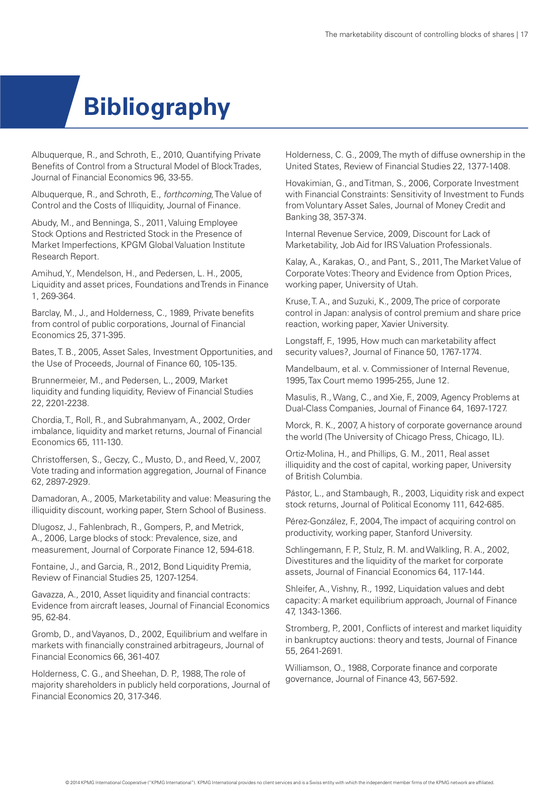### **Bibliography**

Albuquerque, R., and Schroth, E., 2010, Quantifying Private Benefits of Control from a Structural Model of Block Trades, Journal of Financial Economics 96, 33-55.

Albuquerque, R., and Schroth, E., forthcoming, The Value of Control and the Costs of Illiquidity, Journal of Finance.

Abudy, M., and Benninga, S., 2011, Valuing Employee Stock Options and Restricted Stock in the Presence of Market Imperfections, KPGM Global Valuation Institute Research Report.

Amihud, Y., Mendelson, H., and Pedersen, L. H., 2005, Liquidity and asset prices, Foundations and Trends in Finance 1, 269-364.

Barclay, M., J., and Holderness, C., 1989, Private benefits from control of public corporations, Journal of Financial Economics 25, 371-395.

Bates, T. B., 2005, Asset Sales, Investment Opportunities, and the Use of Proceeds, Journal of Finance 60, 105-135.

Brunnermeier, M., and Pedersen, L., 2009, Market liquidity and funding liquidity, Review of Financial Studies 22, 2201-2238.

Chordia, T., Roll, R., and Subrahmanyam, A., 2002, Order imbalance, liquidity and market returns, Journal of Financial Economics 65, 111-130.

Christoffersen, S., Geczy, C., Musto, D., and Reed, V., 2007, Vote trading and information aggregation, Journal of Finance 62, 2897-2929.

Damadoran, A., 2005, Marketability and value: Measuring the illiquidity discount, working paper, Stern School of Business.

Dlugosz, J., Fahlenbrach, R., Gompers, P., and Metrick, A., 2006, Large blocks of stock: Prevalence, size, and measurement, Journal of Corporate Finance 12, 594-618.

Fontaine, J., and Garcia, R., 2012, Bond Liquidity Premia, Review of Financial Studies 25, 1207-1254.

Gavazza, A., 2010, Asset liquidity and financial contracts: Evidence from aircraft leases, Journal of Financial Economics 95, 62-84.

Gromb, D., and Vayanos, D., 2002, Equilibrium and welfare in markets with financially constrained arbitrageurs, Journal of Financial Economics 66, 361-407.

Holderness, C. G., and Sheehan, D. P., 1988, The role of majority shareholders in publicly held corporations, Journal of Financial Economics 20, 317-346.

Holderness, C. G., 2009, The myth of diffuse ownership in the United States, Review of Financial Studies 22, 1377-1408.

Hovakimian, G., and Titman, S., 2006, Corporate Investment with Financial Constraints: Sensitivity of Investment to Funds from Voluntary Asset Sales, Journal of Money Credit and Banking 38, 357-374.

Internal Revenue Service, 2009, Discount for Lack of Marketability, Job Aid for IRS Valuation Professionals.

Kalay, A., Karakas, O., and Pant, S., 2011, The Market Value of Corporate Votes: Theory and Evidence from Option Prices, working paper, University of Utah.

Kruse, T. A., and Suzuki, K., 2009, The price of corporate control in Japan: analysis of control premium and share price reaction, working paper, Xavier University.

Longstaff, F., 1995, How much can marketability affect security values?, Journal of Finance 50, 1767-1774.

Mandelbaum, et al. v. Commissioner of Internal Revenue, 1995, Tax Court memo 1995-255, June 12.

Masulis, R., Wang, C., and Xie, F., 2009, Agency Problems at Dual-Class Companies, Journal of Finance 64, 1697-1727.

Morck, R. K., 2007, A history of corporate governance around the world (The University of Chicago Press, Chicago, IL).

Ortiz-Molina, H., and Phillips, G. M., 2011, Real asset illiquidity and the cost of capital, working paper, University of British Columbia.

Pástor, L., and Stambaugh, R., 2003, Liquidity risk and expect stock returns, Journal of Political Economy 111, 642-685.

Pérez-González, F., 2004, The impact of acquiring control on productivity, working paper, Stanford University.

Schlingemann, F. P., Stulz, R. M. and Walkling, R. A., 2002, Divestitures and the liquidity of the market for corporate assets, Journal of Financial Economics 64, 117-144.

Shleifer, A., Vishny, R., 1992, Liquidation values and debt capacity: A market equilibrium approach, Journal of Finance 47, 1343-1366.

Stromberg, P., 2001, Conflicts of interest and market liquidity in bankruptcy auctions: theory and tests, Journal of Finance 55, 2641-2691.

Williamson, O., 1988, Corporate finance and corporate governance, Journal of Finance 43, 567-592.